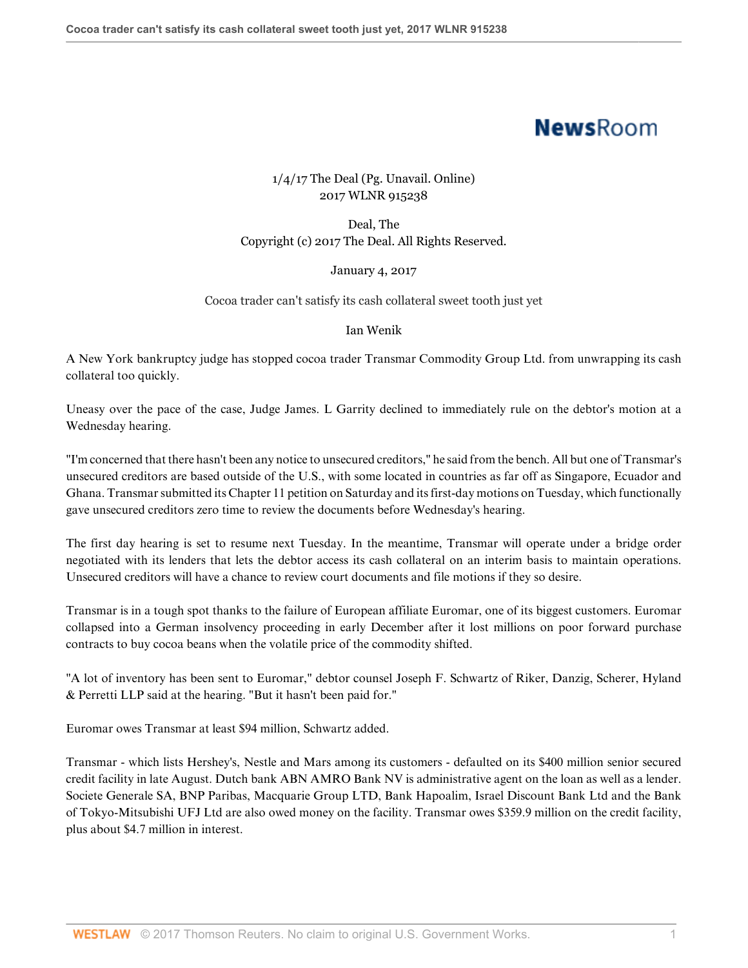# **NewsRoom**

## 1/4/17 The Deal (Pg. Unavail. Online) 2017 WLNR 915238

Deal, The Copyright (c) 2017 The Deal. All Rights Reserved.

### January 4, 2017

#### Cocoa trader can't satisfy its cash collateral sweet tooth just yet

#### Ian Wenik

A New York bankruptcy judge has stopped cocoa trader Transmar Commodity Group Ltd. from unwrapping its cash collateral too quickly.

Uneasy over the pace of the case, Judge James. L Garrity declined to immediately rule on the debtor's motion at a Wednesday hearing.

"I'm concerned that there hasn't been any notice to unsecured creditors," he said from the bench. All but one of Transmar's unsecured creditors are based outside of the U.S., with some located in countries as far off as Singapore, Ecuador and Ghana. Transmar submitted its Chapter 11 petition on Saturday and its first-day motions on Tuesday, which functionally gave unsecured creditors zero time to review the documents before Wednesday's hearing.

The first day hearing is set to resume next Tuesday. In the meantime, Transmar will operate under a bridge order negotiated with its lenders that lets the debtor access its cash collateral on an interim basis to maintain operations. Unsecured creditors will have a chance to review court documents and file motions if they so desire.

Transmar is in a tough spot thanks to the failure of European affiliate Euromar, one of its biggest customers. Euromar collapsed into a German insolvency proceeding in early December after it lost millions on poor forward purchase contracts to buy cocoa beans when the volatile price of the commodity shifted.

"A lot of inventory has been sent to Euromar," debtor counsel Joseph F. Schwartz of Riker, Danzig, Scherer, Hyland & Perretti LLP said at the hearing. "But it hasn't been paid for."

Euromar owes Transmar at least \$94 million, Schwartz added.

Transmar - which lists Hershey's, Nestle and Mars among its customers - defaulted on its \$400 million senior secured credit facility in late August. Dutch bank ABN AMRO Bank NV is administrative agent on the loan as well as a lender. Societe Generale SA, BNP Paribas, Macquarie Group LTD, Bank Hapoalim, Israel Discount Bank Ltd and the Bank of Tokyo-Mitsubishi UFJ Ltd are also owed money on the facility. Transmar owes \$359.9 million on the credit facility, plus about \$4.7 million in interest.